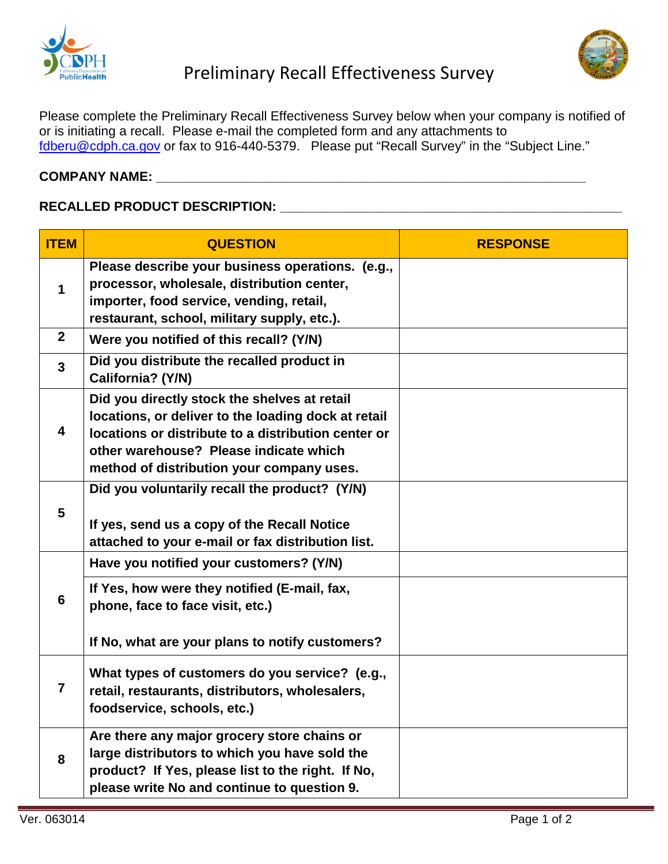



Please complete the Preliminary Recall Effectiveness Survey below when your company is notified of or is initiating a recall. Please e-mail the completed form and any attachments to [fdberu@cdph.ca.gov](mailto:fdberu@cdph.ca.gov) or fax to 916-440-5379. Please put "Recall Survey" in the "Subject Line."

## **COMPANY NAME: \_\_\_\_\_\_\_\_\_\_\_\_\_\_\_\_\_\_\_\_\_\_\_\_\_\_\_\_\_\_\_\_\_\_\_\_\_\_\_\_\_\_\_\_\_\_\_\_\_\_\_\_\_\_\_\_\_\_\_**

## **RECALLED PRODUCT DESCRIPTION: \_\_\_\_\_\_\_\_\_\_\_\_\_\_\_\_\_\_\_\_\_\_\_\_\_\_\_\_\_\_\_\_\_\_\_\_\_\_\_\_\_\_\_\_\_\_\_**

| <b>ITEM</b>             | <b>QUESTION</b>                                                                                                                                                                                                                                   | <b>RESPONSE</b> |
|-------------------------|---------------------------------------------------------------------------------------------------------------------------------------------------------------------------------------------------------------------------------------------------|-----------------|
| 1                       | Please describe your business operations. (e.g.,<br>processor, wholesale, distribution center,<br>importer, food service, vending, retail,<br>restaurant, school, military supply, etc.).                                                         |                 |
| $\overline{2}$          | Were you notified of this recall? (Y/N)                                                                                                                                                                                                           |                 |
| $\overline{3}$          | Did you distribute the recalled product in<br>California? (Y/N)                                                                                                                                                                                   |                 |
| $\overline{\mathbf{4}}$ | Did you directly stock the shelves at retail<br>locations, or deliver to the loading dock at retail<br>locations or distribute to a distribution center or<br>other warehouse? Please indicate which<br>method of distribution your company uses. |                 |
| 5                       | Did you voluntarily recall the product? (Y/N)<br>If yes, send us a copy of the Recall Notice<br>attached to your e-mail or fax distribution list.                                                                                                 |                 |
| 6                       | Have you notified your customers? (Y/N)                                                                                                                                                                                                           |                 |
|                         | If Yes, how were they notified (E-mail, fax,<br>phone, face to face visit, etc.)                                                                                                                                                                  |                 |
|                         | If No, what are your plans to notify customers?                                                                                                                                                                                                   |                 |
| 7                       | What types of customers do you service? (e.g.,<br>retail, restaurants, distributors, wholesalers,<br>foodservice, schools, etc.)                                                                                                                  |                 |
| 8                       | Are there any major grocery store chains or<br>large distributors to which you have sold the<br>product? If Yes, please list to the right. If No,<br>please write No and continue to question 9.                                                  |                 |